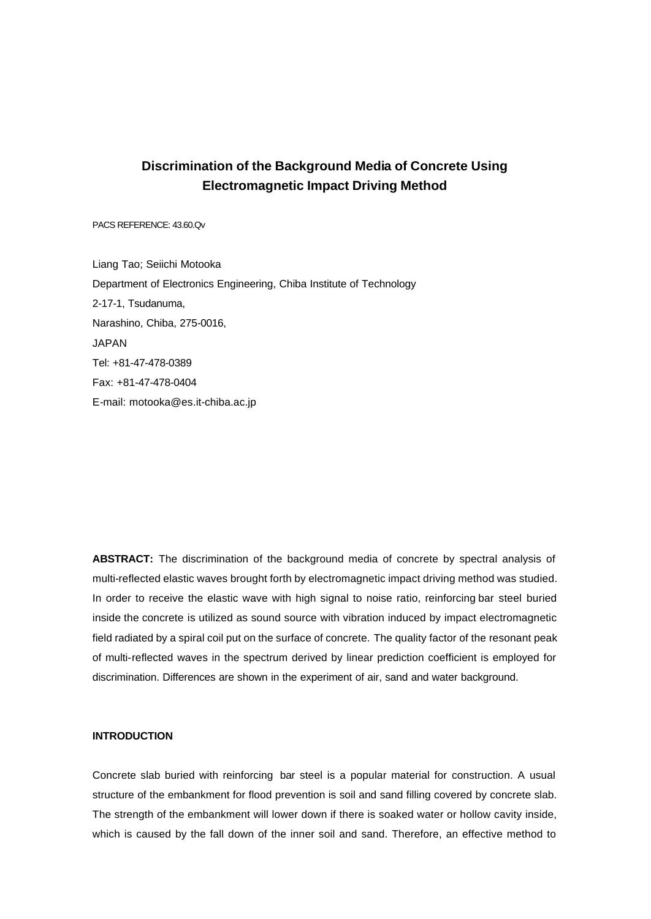# **Discrimination of the Background Media of Concrete Using Electromagnetic Impact Driving Method**

PACS REFERENCE: 43.60.Qv

Liang Tao; Seiichi Motooka Department of Electronics Engineering, Chiba Institute of Technology 2-17-1, Tsudanuma, Narashino, Chiba, 275-0016, JAPAN Tel: +81-47-478-0389 Fax: +81-47-478-0404 E-mail: motooka@es.it-chiba.ac.jp

**ABSTRACT:** The discrimination of the background media of concrete by spectral analysis of multi-reflected elastic waves brought forth by electromagnetic impact driving method was studied. In order to receive the elastic wave with high signal to noise ratio, reinforcing bar steel buried inside the concrete is utilized as sound source with vibration induced by impact electromagnetic field radiated by a spiral coil put on the surface of concrete. The quality factor of the resonant peak of multi-reflected waves in the spectrum derived by linear prediction coefficient is employed for discrimination. Differences are shown in the experiment of air, sand and water background.

## **INTRODUCTION**

Concrete slab buried with reinforcing bar steel is a popular material for construction. A usual structure of the embankment for flood prevention is soil and sand filling covered by concrete slab. The strength of the embankment will lower down if there is soaked water or hollow cavity inside, which is caused by the fall down of the inner soil and sand. Therefore, an effective method to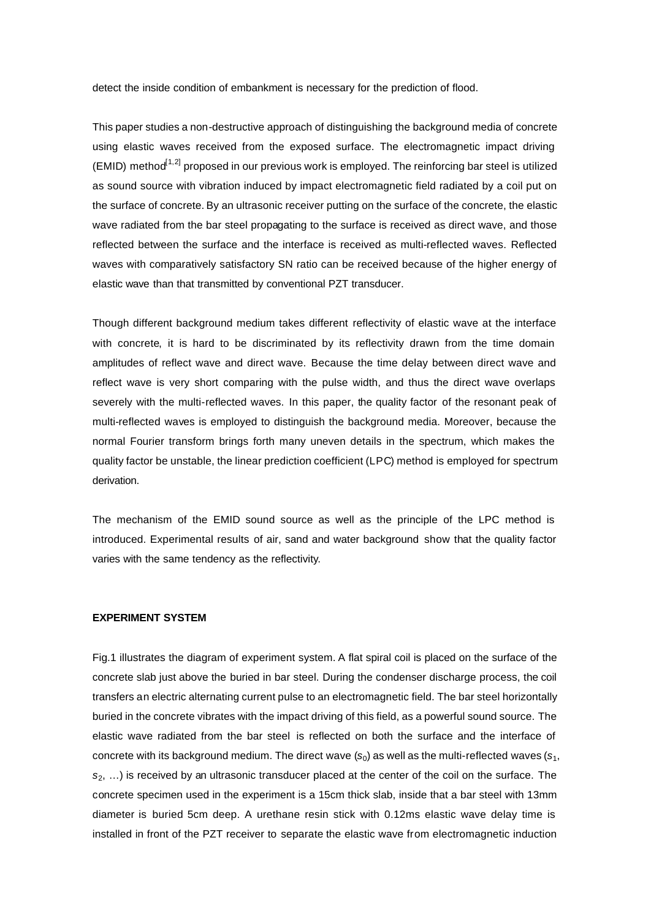detect the inside condition of embankment is necessary for the prediction of flood.

This paper studies a non-destructive approach of distinguishing the background media of concrete using elastic waves received from the exposed surface. The electromagnetic impact driving (EMID) method $^{1,2]}$  proposed in our previous work is employed. The reinforcing bar steel is utilized as sound source with vibration induced by impact electromagnetic field radiated by a coil put on the surface of concrete. By an ultrasonic receiver putting on the surface of the concrete, the elastic wave radiated from the bar steel propagating to the surface is received as direct wave, and those reflected between the surface and the interface is received as multi-reflected waves. Reflected waves with comparatively satisfactory SN ratio can be received because of the higher energy of elastic wave than that transmitted by conventional PZT transducer.

Though different background medium takes different reflectivity of elastic wave at the interface with concrete, it is hard to be discriminated by its reflectivity drawn from the time domain amplitudes of reflect wave and direct wave. Because the time delay between direct wave and reflect wave is very short comparing with the pulse width, and thus the direct wave overlaps severely with the multi-reflected waves. In this paper, the quality factor of the resonant peak of multi-reflected waves is employed to distinguish the background media. Moreover, because the normal Fourier transform brings forth many uneven details in the spectrum, which makes the quality factor be unstable, the linear prediction coefficient (LPC) method is employed for spectrum derivation.

The mechanism of the EMID sound source as well as the principle of the LPC method is introduced. Experimental results of air, sand and water background show that the quality factor varies with the same tendency as the reflectivity.

## **EXPERIMENT SYSTEM**

Fig.1 illustrates the diagram of experiment system. A flat spiral coil is placed on the surface of the concrete slab just above the buried in bar steel. During the condenser discharge process, the coil transfers an electric alternating current pulse to an electromagnetic field. The bar steel horizontally buried in the concrete vibrates with the impact driving of this field, as a powerful sound source. The elastic wave radiated from the bar steel is reflected on both the surface and the interface of concrete with its background medium. The direct wave  $(s_0)$  as well as the multi-reflected waves  $(s_1, s_2)$ *s*2, …) is received by an ultrasonic transducer placed at the center of the coil on the surface. The concrete specimen used in the experiment is a 15cm thick slab, inside that a bar steel with 13mm diameter is buried 5cm deep. A urethane resin stick with 0.12ms elastic wave delay time is installed in front of the PZT receiver to separate the elastic wave from electromagnetic induction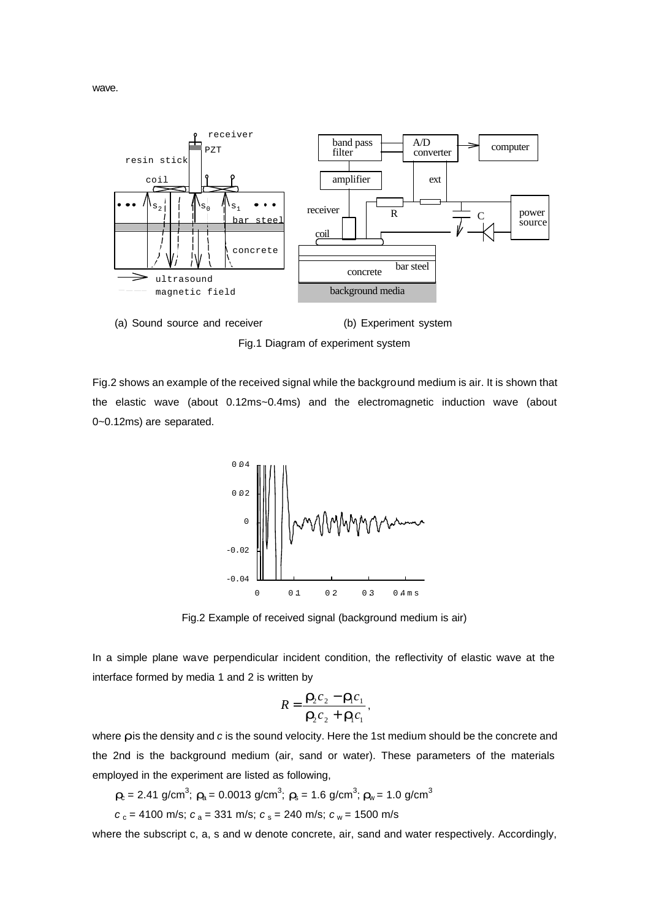



Fig.1 Diagram of experiment system

Fig.2 shows an example of the received signal while the background medium is air. It is shown that the elastic wave (about 0.12ms~0.4ms) and the electromagnetic induction wave (about 0~0.12ms) are separated.



Fig.2 Example of received signal (background medium is air)

In a simple plane wave perpendicular incident condition, the reflectivity of elastic wave at the interface formed by media 1 and 2 is written by

$$
R=\frac{\mathbf{r}_2c_2-\mathbf{r}_1c_1}{\mathbf{r}_2c_2+\mathbf{r}_1c_1},
$$

where *r* is the density and *c* is the sound velocity. Here the 1st medium should be the concrete and the 2nd is the background medium (air, sand or water). These parameters of the materials employed in the experiment are listed as following,

- $r_c$  = 2.41 g/cm<sup>3</sup>;  $r_a$  = 0.0013 g/cm<sup>3</sup>;  $r_s$  = 1.6 g/cm<sup>3</sup>;  $r_w$  = 1.0 g/cm<sup>3</sup>
- $c_c = 4100$  m/s;  $c_a = 331$  m/s;  $c_s = 240$  m/s;  $c_w = 1500$  m/s

where the subscript c, a, s and w denote concrete, air, sand and water respectively. Accordingly,

wave.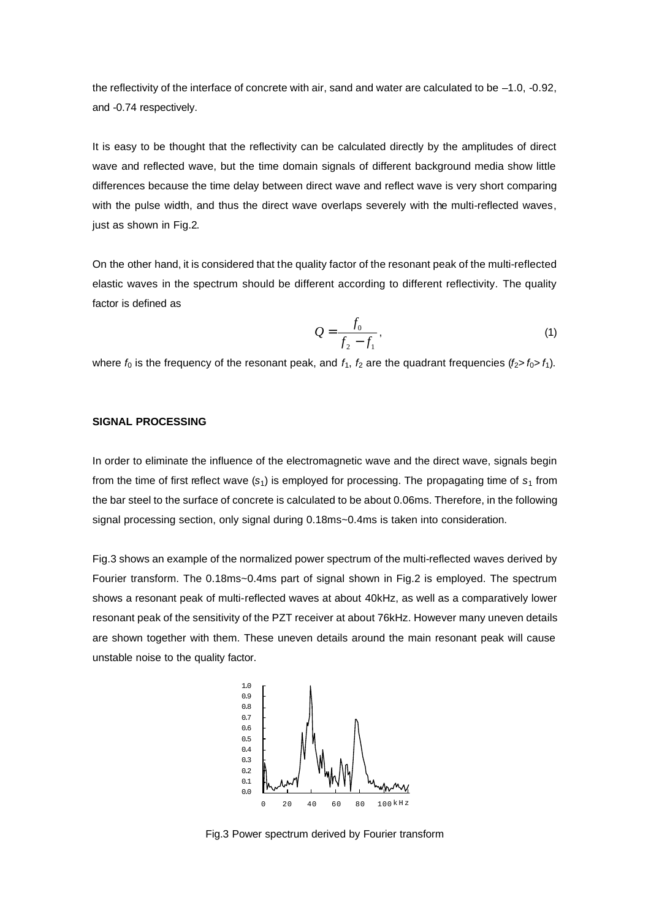the reflectivity of the interface of concrete with air, sand and water are calculated to be –1.0, -0.92, and -0.74 respectively.

It is easy to be thought that the reflectivity can be calculated directly by the amplitudes of direct wave and reflected wave, but the time domain signals of different background media show little differences because the time delay between direct wave and reflect wave is very short comparing with the pulse width, and thus the direct wave overlaps severely with the multi-reflected waves, just as shown in Fig.2.

On the other hand, it is considered that the quality factor of the resonant peak of the multi-reflected elastic waves in the spectrum should be different according to different reflectivity. The quality factor is defined as

$$
Q = \frac{f_0}{f_2 - f_1},\tag{1}
$$

where  $f_0$  is the frequency of the resonant peak, and  $f_1$ ,  $f_2$  are the quadrant frequencies ( $f_2 > f_0 > f_1$ ).

### **SIGNAL PROCESSING**

In order to eliminate the influence of the electromagnetic wave and the direct wave, signals begin from the time of first reflect wave  $(s_1)$  is employed for processing. The propagating time of  $s_1$  from the bar steel to the surface of concrete is calculated to be about 0.06ms. Therefore, in the following signal processing section, only signal during 0.18ms~0.4ms is taken into consideration.

Fig.3 shows an example of the normalized power spectrum of the multi-reflected waves derived by Fourier transform. The 0.18ms~0.4ms part of signal shown in Fig.2 is employed. The spectrum shows a resonant peak of multi-reflected waves at about 40kHz, as well as a comparatively lower resonant peak of the sensitivity of the PZT receiver at about 76kHz. However many uneven details are shown together with them. These uneven details around the main resonant peak will cause unstable noise to the quality factor.



Fig.3 Power spectrum derived by Fourier transform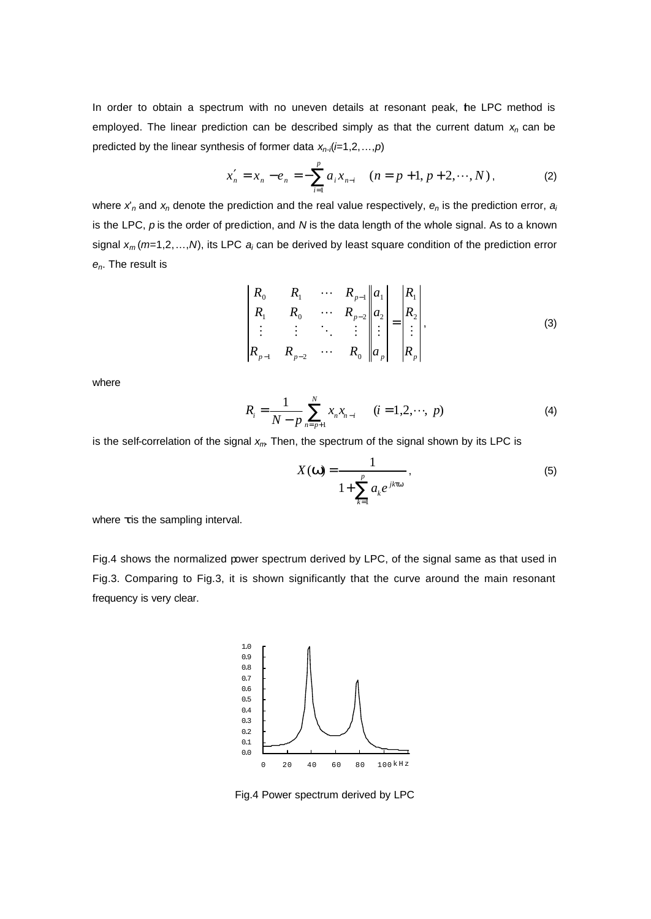In order to obtain a spectrum with no uneven details at resonant peak, he LPC method is employed. The linear prediction can be described simply as that the current datum *xn* can be predicted by the linear synthesis of former data  $x_n$ , (*i*=1,2, ..., *p*)

$$
x'_{n} = x_{n} - e_{n} = -\sum_{i=1}^{p} a_{i} x_{n-i} \quad (n = p+1, p+2, \cdots, N),
$$
 (2)

where *x*'*n* and *xn* denote the prediction and the real value respectively, *en* is the prediction error, *a<sup>i</sup>* is the LPC, *p* is the order of prediction, and *N* is the data length of the whole signal. As to a known signal *xm* (*m*=1,2,…,*N*), its LPC *a<sup>i</sup>* can be derived by least square condition of the prediction error *en*. The result is

$$
\begin{vmatrix} R_0 & R_1 & \cdots & R_{p-1} & | & a_1 \\ R_1 & R_0 & \cdots & R_{p-2} & | & a_2 \\ \vdots & \vdots & \ddots & \vdots & | & a_p & | & a_p \end{vmatrix} = \begin{vmatrix} R_1 \\ R_2 \\ \vdots \\ R_p \end{vmatrix},
$$
(3)

where

$$
R_i = \frac{1}{N - p} \sum_{n = p+1}^{N} x_n x_{n-i} \qquad (i = 1, 2, \cdots, p)
$$
 (4)

is the self-correlation of the signal *xm*. Then, the spectrum of the signal shown by its LPC is

$$
X(\mathbf{w}) = \frac{1}{1 + \sum_{k=1}^{p} a_k e^{jkt\mathbf{w}}},
$$
\n(5)

where *t* is the sampling interval.

Fig.4 shows the normalized power spectrum derived by LPC, of the signal same as that used in Fig.3. Comparing to Fig.3, it is shown significantly that the curve around the main resonant frequency is very clear.



Fig.4 Power spectrum derived by LPC